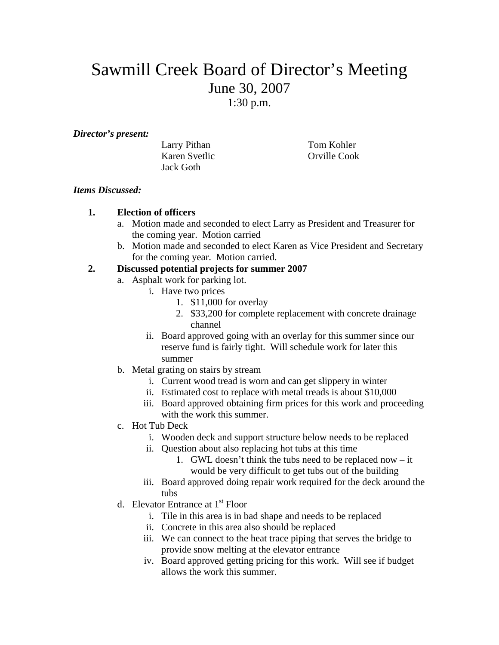# Sawmill Creek Board of Director's Meeting June 30, 2007 1:30 p.m.

#### *Director's present:*

| Larry Pithan  | Tom Kohler   |
|---------------|--------------|
| Karen Svetlic | Orville Cook |
| Jack Goth     |              |

## *Items Discussed:*

## **1. Election of officers**

- a. Motion made and seconded to elect Larry as President and Treasurer for the coming year. Motion carried
- b. Motion made and seconded to elect Karen as Vice President and Secretary for the coming year. Motion carried.

## **2. Discussed potential projects for summer 2007**

- a. Asphalt work for parking lot.
	- i. Have two prices
		- 1. \$11,000 for overlay
		- 2. \$33,200 for complete replacement with concrete drainage channel
		- ii. Board approved going with an overlay for this summer since our reserve fund is fairly tight. Will schedule work for later this summer
- b. Metal grating on stairs by stream
	- i. Current wood tread is worn and can get slippery in winter
	- ii. Estimated cost to replace with metal treads is about \$10,000
	- iii. Board approved obtaining firm prices for this work and proceeding with the work this summer.
- c. Hot Tub Deck
	- i. Wooden deck and support structure below needs to be replaced
	- ii. Question about also replacing hot tubs at this time
		- 1. GWL doesn't think the tubs need to be replaced now it would be very difficult to get tubs out of the building
	- iii. Board approved doing repair work required for the deck around the tubs
- d. Elevator Entrance at 1<sup>st</sup> Floor
	- i. Tile in this area is in bad shape and needs to be replaced
	- ii. Concrete in this area also should be replaced
	- iii. We can connect to the heat trace piping that serves the bridge to provide snow melting at the elevator entrance
	- iv. Board approved getting pricing for this work. Will see if budget allows the work this summer.